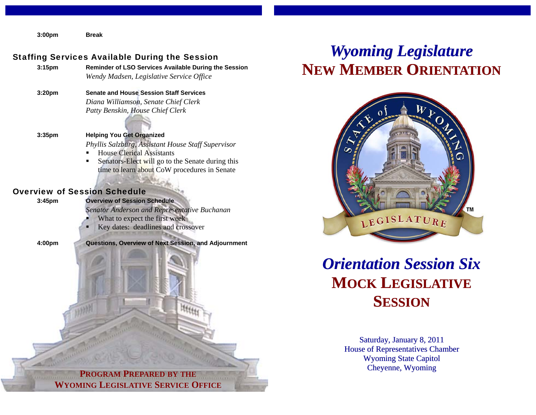**3:00pm Break** 

#### Staffing Services Available During the Session

| $3:15 \text{pm}$ | <b>Reminder of LSO Services Available During the Session</b> |
|------------------|--------------------------------------------------------------|
|                  | Wendy Madsen, Legislative Service Office                     |

**3:20pm Senate and House Session Staff Services**  *Diana Williamson, Senate Chief Clerk Patty Benskin, House Chief Clerk* 

**3:35pm Helping You Get Organized**   *Phyllis Salzburg, Assistant House Staff Supervisor*  **House Clerical Assistants** 

 Senators-Elect will go to the Senate during this time to learn about CoW procedures in Senate

#### Overview of Session Schedule

**3:45pm Overview of Session Schedule** 

 *Senator Anderson and Representative Buchanan* 

- What to expect the first week
- Key dates: deadlines and crossover

**4:00pm Questions, Overview of Next Session, and Adjournment** 

# *Wyoming Legislature* **NEW MEMBER ORIENTATION**



## *Orientation Session Six***MOCK LEGISLATIVE SESSION**

Saturday, January 8, 2011 House of Representatives Chamber Wyoming State Capitol Cheyenne, Wyoming

**PROGRAM PREPARED BY THE WYOMING LEGISLATIVE SERVICE OFFICE**